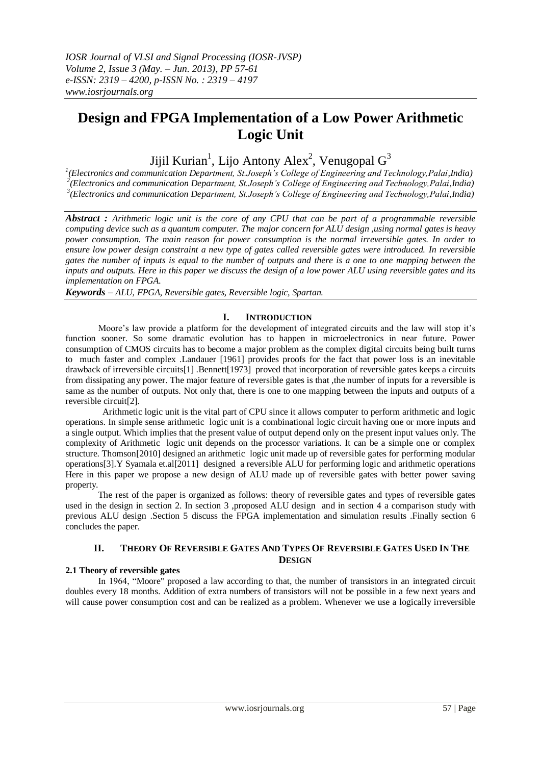# **Design and FPGA Implementation of a Low Power Arithmetic Logic Unit**

Jijil Kurian<sup>1</sup>, Lijo Antony Alex<sup>2</sup>, Venugopal  $G^3$ 

*1 (Electronics and communication Department, St.Joseph's College of Engineering and Technology,Palai,India) 2 (Electronics and communication Department, St.Joseph's College of Engineering and Technology,Palai,India) 3 (Electronics and communication Department, St.Joseph's College of Engineering and Technology,Palai,India)*

*Abstract : Arithmetic logic unit is the core of any CPU that can be part of a programmable reversible computing device such as a quantum computer. The major concern for ALU design ,using normal gates is heavy power consumption. The main reason for power consumption is the normal irreversible gates. In order to ensure low power design constraint a new type of gates called reversible gates were introduced. In reversible gates the number of inputs is equal to the number of outputs and there is a one to one mapping between the inputs and outputs. Here in this paper we discuss the design of a low power ALU using reversible gates and its implementation on FPGA.*

*Keywords – ALU, FPGA, Reversible gates, Reversible logic, Spartan.*

# **I. INTRODUCTION**

Moore's law provide a platform for the development of integrated circuits and the law will stop it's function sooner. So some dramatic evolution has to happen in microelectronics in near future. Power consumption of CMOS circuits has to become a major problem as the complex digital circuits being built turns to much faster and complex .Landauer [1961] provides proofs for the fact that power loss is an inevitable drawback of irreversible circuits[1] .Bennett[1973] proved that incorporation of reversible gates keeps a circuits from dissipating any power. The major feature of reversible gates is that ,the number of inputs for a reversible is same as the number of outputs. Not only that, there is one to one mapping between the inputs and outputs of a reversible circuit[2].

 Arithmetic logic unit is the vital part of CPU since it allows computer to perform arithmetic and logic operations. In simple sense arithmetic logic unit is a combinational logic circuit having one or more inputs and a single output. Which implies that the present value of output depend only on the present input values only. The complexity of Arithmetic logic unit depends on the processor variations. It can be a simple one or complex structure. Thomson[2010] designed an arithmetic logic unit made up of reversible gates for performing modular operations[3].Y Syamala et.al[2011] designed a reversible ALU for performing logic and arithmetic operations Here in this paper we propose a new design of ALU made up of reversible gates with better power saving property.

 The rest of the paper is organized as follows: theory of reversible gates and types of reversible gates used in the design in section 2. In section 3 ,proposed ALU design and in section 4 a comparison study with previous ALU design .Section 5 discuss the FPGA implementation and simulation results .Finally section 6 concludes the paper.

#### II. THEORY OF REVERSIBLE GATES AND TYPES OF REVERSIBLE GATES USED IN THE **DESIGN**

### **2.1 Theory of reversible gates**

In 1964, "Moore" proposed a law according to that, the number of transistors in an integrated circuit doubles every 18 months. Addition of extra numbers of transistors will not be possible in a few next years and will cause power consumption cost and can be realized as a problem. Whenever we use a logically irreversible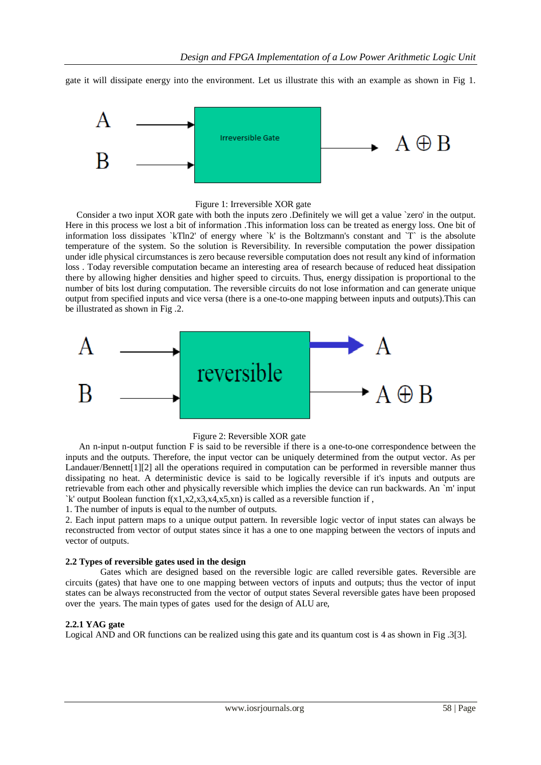gate it will dissipate energy into the environment. Let us illustrate this with an example as shown in Fig 1.



#### Figure 1: Irreversible XOR gate

 Consider a two input XOR gate with both the inputs zero .Definitely we will get a value `zero' in the output. Here in this process we lost a bit of information .This information loss can be treated as energy loss. One bit of information loss dissipates `kTln2' of energy where `k' is the Boltzmann's constant and `T` is the absolute temperature of the system. So the solution is Reversibility. In reversible computation the power dissipation under idle physical circumstances is zero because reversible computation does not result any kind of information loss . Today reversible computation became an interesting area of research because of reduced heat dissipation there by allowing higher densities and higher speed to circuits. Thus, energy dissipation is proportional to the number of bits lost during computation. The reversible circuits do not lose information and can generate unique output from specified inputs and vice versa (there is a one-to-one mapping between inputs and outputs).This can be illustrated as shown in Fig .2.



### Figure 2: Reversible XOR gate

 An n-input n-output function F is said to be reversible if there is a one-to-one correspondence between the inputs and the outputs. Therefore, the input vector can be uniquely determined from the output vector. As per Landauer/Bennett[1][2] all the operations required in computation can be performed in reversible manner thus dissipating no heat. A deterministic device is said to be logically reversible if it's inputs and outputs are retrievable from each other and physically reversible which implies the device can run backwards. An `m' input `k' output Boolean function  $f(x1,x2,x3,x4,x5,xn)$  is called as a reversible function if ,

1. The number of inputs is equal to the number of outputs.

2. Each input pattern maps to a unique output pattern. In reversible logic vector of input states can always be reconstructed from vector of output states since it has a one to one mapping between the vectors of inputs and vector of outputs.

### **2.2 Types of reversible gates used in the design**

Gates which are designed based on the reversible logic are called reversible gates. Reversible are circuits (gates) that have one to one mapping between vectors of inputs and outputs; thus the vector of input states can be always reconstructed from the vector of output states Several reversible gates have been proposed over the years. The main types of gates used for the design of ALU are,

### **2.2.1 YAG gate**

Logical AND and OR functions can be realized using this gate and its quantum cost is 4 as shown in Fig .3[3].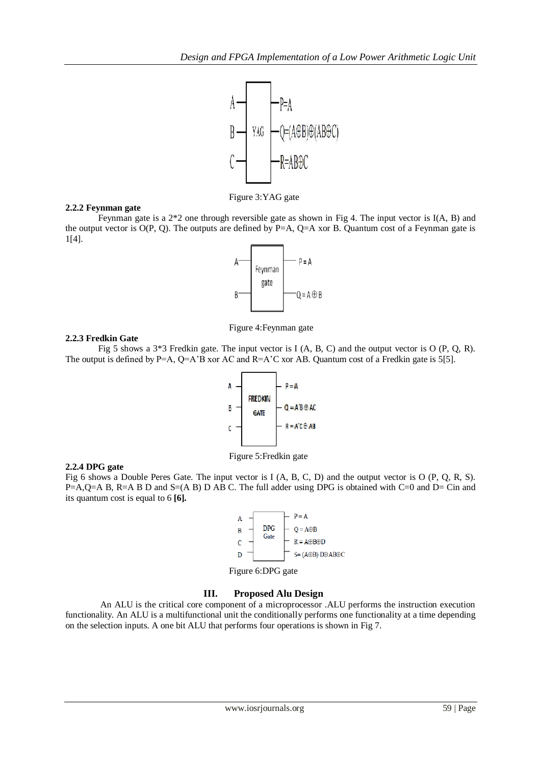

Figure 3:YAG gate

## **2.2.2 Feynman gate**

Feynman gate is a 2\*2 one through reversible gate as shown in Fig 4. The input vector is I(A, B) and the output vector is  $O(P, Q)$ . The outputs are defined by P=A, Q=A xor B. Quantum cost of a Feynman gate is 1[4].



Figure 4:Feynman gate

## **2.2.3 Fredkin Gate**

Fig 5 shows a 3\*3 Fredkin gate. The input vector is I (A, B, C) and the output vector is O (P, Q, R). The output is defined by P=A,  $Q=A'B$  xor AC and R=A'C xor AB. Quantum cost of a Fredkin gate is 5[5].



Figure 5:Fredkin gate

# **2.2.4 DPG gate**

Fig 6 shows a Double Peres Gate. The input vector is I (A, B, C, D) and the output vector is O (P, Q, R, S). P=A,Q=A B, R=A B D and S=(A B) D AB C. The full adder using DPG is obtained with C=0 and D= Cin and its quantum cost is equal to 6 **[6].**



Figure 6:DPG gate

# **III. Proposed Alu Design**

An ALU is the critical core component of a microprocessor .ALU performs the instruction execution functionality. An ALU is a multifunctional unit the conditionally performs one functionality at a time depending on the selection inputs. A one bit ALU that performs four operations is shown in Fig 7.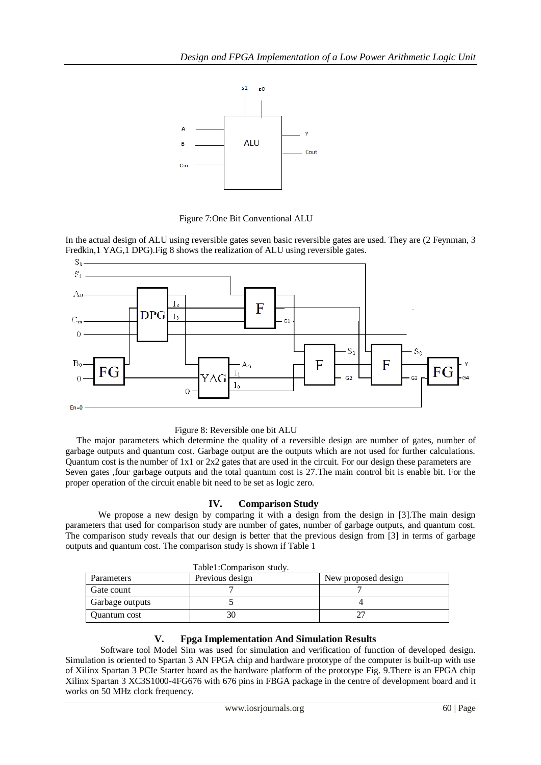



In the actual design of ALU using reversible gates seven basic reversible gates are used. They are (2 Feynman, 3 Fredkin,1 YAG,1 DPG).Fig 8 shows the realization of ALU using reversible gates.





 The major parameters which determine the quality of a reversible design are number of gates, number of garbage outputs and quantum cost. Garbage output are the outputs which are not used for further calculations. Quantum cost is the number of  $1x1$  or  $2x2$  gates that are used in the circuit. For our design these parameters are Seven gates ,four garbage outputs and the total quantum cost is 27.The main control bit is enable bit. For the proper operation of the circuit enable bit need to be set as logic zero.

# **IV. Comparison Study**

We propose a new design by comparing it with a design from the design in [3]. The main design parameters that used for comparison study are number of gates, number of garbage outputs, and quantum cost. The comparison study reveals that our design is better that the previous design from [3] in terms of garbage outputs and quantum cost. The comparison study is shown if Table 1

| Table1:Comparison study. |                 |                     |
|--------------------------|-----------------|---------------------|
| Parameters               | Previous design | New proposed design |
| Gate count               |                 |                     |
| Garbage outputs          |                 |                     |
| Quantum cost             |                 |                     |

# **V. Fpga Implementation And Simulation Results**

Software tool Model Sim was used for simulation and verification of function of developed design. Simulation is oriented to Spartan 3 AN FPGA chip and hardware prototype of the computer is built-up with use of Xilinx Spartan 3 PCIe Starter board as the hardware platform of the prototype Fig. 9.There is an FPGA chip Xilinx Spartan 3 XC3S1000-4FG676 with 676 pins in FBGA package in the centre of development board and it works on 50 MHz clock frequency.